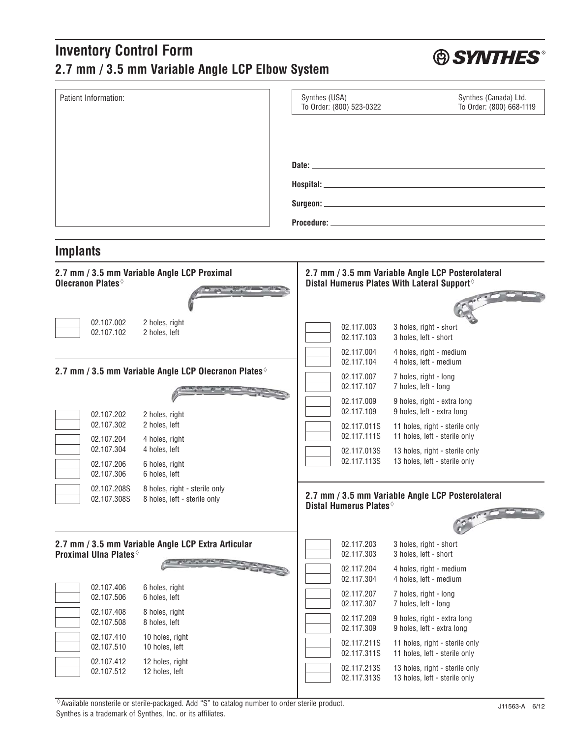## **Inventory Control Form 2.7 mm / 3.5 mm Variable Angle LCP Elbow System**

| Patient Information:                                                       | Synthes (USA)<br>Synthes (Canada) Ltd.<br>To Order: (800) 523-0322<br>To Order: (800) 668-1119                 |
|----------------------------------------------------------------------------|----------------------------------------------------------------------------------------------------------------|
|                                                                            |                                                                                                                |
|                                                                            |                                                                                                                |
|                                                                            | Date: 2008 - 2008 - 2008 - 2008 - 2008 - 2008 - 2008 - 2008 - 2008 - 2008 - 2008 - 2008 - 2008 - 2008 - 2008 - |
|                                                                            |                                                                                                                |
|                                                                            |                                                                                                                |
|                                                                            |                                                                                                                |
| <b>Implants</b>                                                            |                                                                                                                |
| 2.7 mm / 3.5 mm Variable Angle LCP Proximal                                | 2.7 mm / 3.5 mm Variable Angle LCP Posterolateral                                                              |
| Olecranon Plates                                                           | Distal Humerus Plates With Lateral Support <sup>®</sup>                                                        |
|                                                                            |                                                                                                                |
| 02.107.002<br>2 holes, right<br>02.107.102<br>2 holes, left                | 02.117.003<br>3 holes, right - short<br>02.117.103<br>3 holes, left - short                                    |
|                                                                            | 4 holes, right - medium<br>02.117.004                                                                          |
| 2.7 mm / 3.5 mm Variable Angle LCP Olecranon Plates <sup>®</sup>           | 02.117.104<br>4 holes, left - medium<br>02.117.007<br>7 holes, right - long                                    |
|                                                                            | 02.117.107<br>7 holes, left - long                                                                             |
| 2 holes, right<br>02.107.202                                               | 02.117.009<br>9 holes, right - extra long<br>9 holes, left - extra long<br>02.117.109                          |
| 02.107.302<br>2 holes, left                                                | 02.117.011S<br>11 holes, right - sterile only<br>02.117.111S<br>11 holes, left - sterile only                  |
| 02.107.204<br>4 holes, right<br>02.107.304<br>4 holes, left                | 02.117.013S<br>13 holes, right - sterile only                                                                  |
| 02.107.206<br>6 holes, right<br>02.107.306<br>6 holes, left                | 02.117.113S<br>13 holes, left - sterile only                                                                   |
| 02.107.208S<br>8 holes, right - sterile only                               | 2.7 mm / 3.5 mm Variable Angle LCP Posterolateral                                                              |
| 02.107.308S<br>8 holes, left - sterile only                                | Distal Humerus Plates <sup>®</sup>                                                                             |
|                                                                            |                                                                                                                |
| 2.7 mm / 3.5 mm Variable Angle LCP Extra Articular<br>Proximal Ulna Plates | 02.117.203<br>3 holes, right - short<br>02.117.303<br>3 holes, left - short                                    |
|                                                                            | 02.117.204<br>4 holes, right - medium                                                                          |
| 02.107.406<br>6 holes, right<br>02.107.506<br>6 holes, left                | 4 holes, left - medium<br>02.117.304<br>02.117.207<br>7 holes, right - long                                    |
| 02.107.408<br>8 holes, right                                               | 7 holes, left - long<br>02.117.307                                                                             |
| 02.107.508<br>8 holes, left                                                | 02.117.209<br>9 holes, right - extra long<br>9 holes, left - extra long<br>02.117.309                          |
| 02.107.410<br>10 holes, right<br>10 holes, left<br>02.107.510              | 02.117.211S<br>11 holes, right - sterile only<br>02.117.311S<br>11 holes, left - sterile only                  |
| 02.107.412<br>12 holes, right<br>02.107.512<br>12 holes, left              | 02.117.213S<br>13 holes, right - sterile only<br>02.117.313S<br>13 holes, left - sterile only                  |

 $\Diamond$  Available nonsterile or sterile-packaged. Add "S" to catalog number to order sterile product. Synthes is a trademark of Synthes, Inc. or its affiliates.

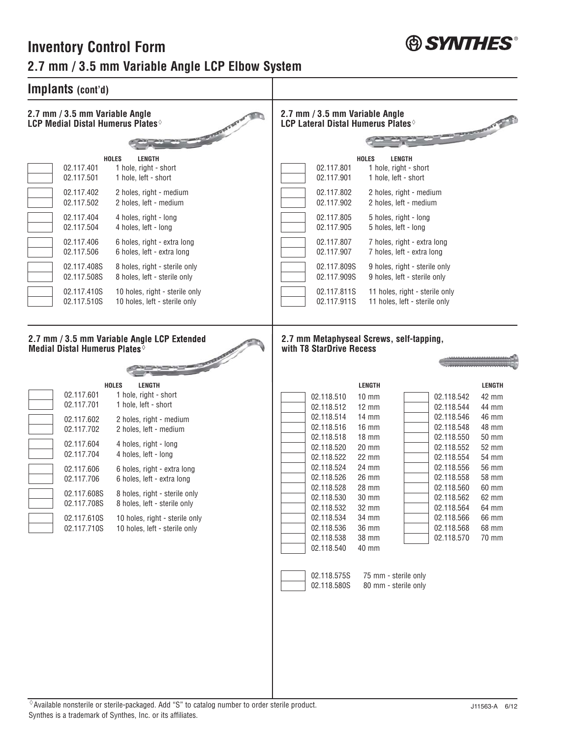

## **Inventory Control Form 2.7 mm / 3.5 mm Variable Angle LCP Elbow System**

| Implants (cont'd)                                                                                                                                                                                                                                                                                                                                                                                                                                                                                                                                                                                                                                             |                                                                                                                                                                                                                                                                                                                                                                                                                                                                                                                                                                                                                                                                                                                                                                                                                                                                                                                                                                             |
|---------------------------------------------------------------------------------------------------------------------------------------------------------------------------------------------------------------------------------------------------------------------------------------------------------------------------------------------------------------------------------------------------------------------------------------------------------------------------------------------------------------------------------------------------------------------------------------------------------------------------------------------------------------|-----------------------------------------------------------------------------------------------------------------------------------------------------------------------------------------------------------------------------------------------------------------------------------------------------------------------------------------------------------------------------------------------------------------------------------------------------------------------------------------------------------------------------------------------------------------------------------------------------------------------------------------------------------------------------------------------------------------------------------------------------------------------------------------------------------------------------------------------------------------------------------------------------------------------------------------------------------------------------|
| 2.7 mm / 3.5 mm Variable Angle<br><b>LCP Medial Distal Humerus Plates</b>                                                                                                                                                                                                                                                                                                                                                                                                                                                                                                                                                                                     | 2.7 mm / 3.5 mm Variable Angle<br><b>LCP Lateral Distal Humerus Plates</b><br><b>AND REPORTS AND DES</b>                                                                                                                                                                                                                                                                                                                                                                                                                                                                                                                                                                                                                                                                                                                                                                                                                                                                    |
| <b>HOLES</b><br><b>LENGTH</b><br>02.117.401<br>1 hole, right - short<br>02.117.501<br>1 hole, left - short<br>02.117.402<br>2 holes, right - medium<br>2 holes, left - medium<br>02.117.502<br>02.117.404<br>4 holes, right - long<br>4 holes, left - long<br>02.117.504<br>02.117.406<br>6 holes, right - extra long<br>6 holes, left - extra long<br>02.117.506<br>02.117.408S<br>8 holes, right - sterile only<br>02.117.508S<br>8 holes, left - sterile only<br>02.117.410S<br>10 holes, right - sterile only<br>02.117.510S<br>10 holes, left - sterile only                                                                                             | <b>HOLES</b><br><b>LENGTH</b><br>02.117.801<br>1 hole, right - short<br>1 hole, left - short<br>02.117.901<br>02.117.802<br>2 holes, right - medium<br>02.117.902<br>2 holes, left - medium<br>02.117.805<br>5 holes, right - long<br>02.117.905<br>5 holes, left - long<br>02.117.807<br>7 holes, right - extra long<br>02.117.907<br>7 holes, left - extra long<br>02.117.809S<br>9 holes, right - sterile only<br>02.117.909S<br>9 holes, left - sterile only<br>02.117.811S<br>11 holes, right - sterile only<br>11 holes, left - sterile only<br>02.117.911S                                                                                                                                                                                                                                                                                                                                                                                                           |
| 2.7 mm / 3.5 mm Variable Angle LCP Extended<br>Medial Distal Humerus Plates <sup>®</sup><br><b>HOLES</b><br><b>LENGTH</b><br>02.117.601<br>1 hole, right - short<br>02.117.701<br>1 hole, left - short<br>02.117.602<br>2 holes, right - medium<br>02.117.702<br>2 holes, left - medium<br>02.117.604<br>4 holes, right - long<br>02.117.704<br>4 holes, left - long<br>02.117.606<br>6 holes, right - extra long<br>02.117.706<br>6 holes, left - extra long<br>02.117.608S<br>8 holes, right - sterile only<br>02.117.708S<br>8 holes, left - sterile only<br>02.117.610S<br>10 holes, right - sterile only<br>02.117.710S<br>10 holes, left - sterile only | 2.7 mm Metaphyseal Screws, self-tapping,<br>with T8 StarDrive Recess<br><b>LENGTH</b><br><b>LENGTH</b><br>02.118.510<br>$10 \text{ mm}$<br>02.118.542<br>42 mm<br>02.118.512<br>$12 \text{ mm}$<br>02.118.544<br>44 mm<br>02.118.514<br>$14 \text{ mm}$<br>02.118.546<br>46 mm<br>02.118.516<br><b>16 mm</b><br>48 mm<br>02.118.548<br>02.118.518<br>$18$ mm<br>02.118.550<br>50 mm<br>02.118.520<br>20 mm<br>02.118.552<br>52 mm<br>02.118.522<br>22 mm<br>54 mm<br>02.118.554<br>24 mm<br>56 mm<br>02.118.524<br>02.118.556<br>58 mm<br>02.118.526<br>26 mm<br>02.118.558<br>02.118.528<br>02.118.560<br>28 mm<br>60 mm<br>02.118.530<br>30 mm<br>02.118.562<br>62 mm<br>02.118.532<br>32 mm<br>02.118.564<br>64 mm<br>02.118.534<br>34 mm<br>02.118.566<br>66 mm<br>02.118.536<br><b>36 mm</b><br>68 mm<br>02.118.568<br>02.118.538<br>38 mm<br>02.118.570<br>70 mm<br>02.118.540<br>40 mm<br>02.118.575S<br>75 mm - sterile only<br>80 mm - sterile only<br>02.118.580S |

 $\Diamond$  Available nonsterile or sterile-packaged. Add "S" to catalog number to order sterile product. Synthes is a trademark of Synthes, Inc. or its affiliates.